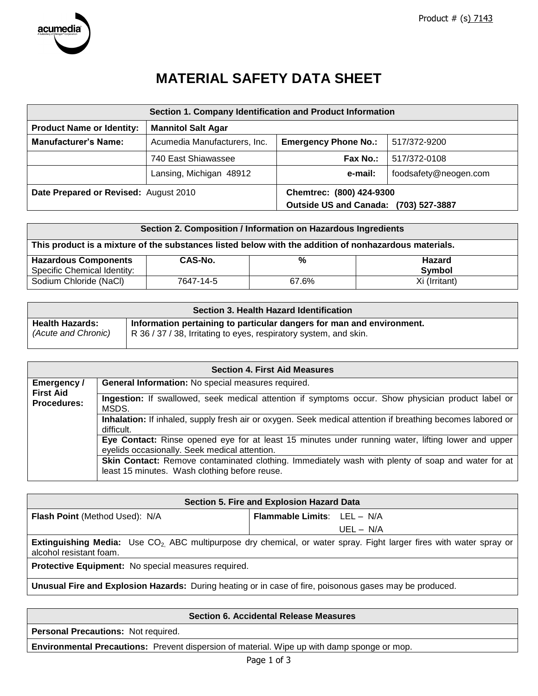

# **MATERIAL SAFETY DATA SHEET**

|                                       | Section 1. Company Identification and Product Information |                               |                       |
|---------------------------------------|-----------------------------------------------------------|-------------------------------|-----------------------|
| <b>Product Name or Identity:</b>      | <b>Mannitol Salt Agar</b>                                 |                               |                       |
| <b>Manufacturer's Name:</b>           | Acumedia Manufacturers, Inc.                              | <b>Emergency Phone No.:</b>   | 517/372-9200          |
|                                       | 740 East Shiawassee                                       | Fax No.:                      | 517/372-0108          |
|                                       | Lansing, Michigan 48912                                   | e-mail:                       | foodsafety@neogen.com |
| Date Prepared or Revised: August 2010 |                                                           | Chemtrec: (800) 424-9300      |                       |
|                                       |                                                           | <b>Outside US and Canada:</b> | (703) 527-3887        |

|                                                                                                       |           | Section 2. Composition / Information on Hazardous Ingredients |                                |
|-------------------------------------------------------------------------------------------------------|-----------|---------------------------------------------------------------|--------------------------------|
| This product is a mixture of the substances listed below with the addition of nonhazardous materials. |           |                                                               |                                |
| <b>Hazardous Components</b><br>Specific Chemical Identity:                                            | CAS-No.   | %                                                             | <b>Hazard</b><br><b>Symbol</b> |
| Sodium Chloride (NaCl)                                                                                | 7647-14-5 | 67.6%                                                         | Xi (Irritant)                  |

| Section 3. Health Hazard Identification       |                                                                                                                                        |  |  |
|-----------------------------------------------|----------------------------------------------------------------------------------------------------------------------------------------|--|--|
| <b>Health Hazards:</b><br>(Acute and Chronic) | Information pertaining to particular dangers for man and environment.<br>R 36/37/38, Irritating to eyes, respiratory system, and skin. |  |  |
|                                               |                                                                                                                                        |  |  |

|                                 | <b>Section 4. First Aid Measures</b>                                                                                                                      |
|---------------------------------|-----------------------------------------------------------------------------------------------------------------------------------------------------------|
| Emergency /<br><b>First Aid</b> | General Information: No special measures required.                                                                                                        |
| <b>Procedures:</b>              | Ingestion: If swallowed, seek medical attention if symptoms occur. Show physician product label or<br>MSDS.                                               |
|                                 | Inhalation: If inhaled, supply fresh air or oxygen. Seek medical attention if breathing becomes labored or<br>difficult.                                  |
|                                 | Eye Contact: Rinse opened eye for at least 15 minutes under running water, lifting lower and upper<br>eyelids occasionally. Seek medical attention.       |
|                                 | <b>Skin Contact:</b> Remove contaminated clothing. Immediately wash with plenty of soap and water for at<br>least 15 minutes. Wash clothing before reuse. |

| Section 5. Fire and Explosion Hazard Data           |                                                                                                                                       |  |
|-----------------------------------------------------|---------------------------------------------------------------------------------------------------------------------------------------|--|
| <b>Flash Point (Method Used): N/A</b>               | <b>Flammable Limits:</b> LEL - N/A                                                                                                    |  |
|                                                     | UEL - N/A                                                                                                                             |  |
| alcohol resistant foam.                             | <b>Extinguishing Media:</b> Use CO <sub>2</sub> ABC multipurpose dry chemical, or water spray. Fight larger fires with water spray or |  |
| Protective Equipment: No special measures required. |                                                                                                                                       |  |
|                                                     |                                                                                                                                       |  |

**Unusual Fire and Explosion Hazards:** During heating or in case of fire, poisonous gases may be produced.

| <b>Section 6. Accidental Release Measures</b>                                                      |
|----------------------------------------------------------------------------------------------------|
| <b>Personal Precautions: Not required.</b>                                                         |
| <b>Environmental Precautions:</b> Prevent dispersion of material. Wipe up with damp sponge or mop. |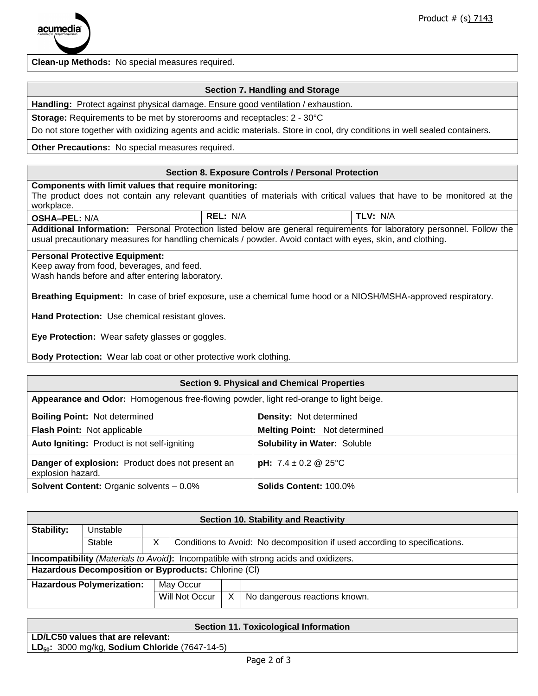**Clean-up Methods:** No special measures required.

## **Section 7. Handling and Storage**

**Handling:** Protect against physical damage. Ensure good ventilation / exhaustion.

**Storage:** Requirements to be met by storerooms and receptacles: 2 - 30°C

Do not store together with oxidizing agents and acidic materials. Store in cool, dry conditions in well sealed containers.

**Other Precautions:** No special measures required.

### **Section 8. Exposure Controls / Personal Protection**

**Components with limit values that require monitoring:**

The product does not contain any relevant quantities of materials with critical values that have to be monitored at the workplace.

**OSHA–PEL:** N/A **REL:** N/A **TLV:** N/A **Additional Information:** Personal Protection listed below are general requirements for laboratory personnel. Follow the usual precautionary measures for handling chemicals / powder. Avoid contact with eyes, skin, and clothing.

#### **Personal Protective Equipment:**

Keep away from food, beverages, and feed.

Wash hands before and after entering laboratory.

**Breathing Equipment:** In case of brief exposure, use a chemical fume hood or a NIOSH/MSHA-approved respiratory.

**Hand Protection:** Use chemical resistant gloves.

**Eye Protection:** Wea**r** safety glasses or goggles.

**Body Protection:** Wear lab coat or other protective work clothing.

#### **Section 9. Physical and Chemical Properties**

**Appearance and Odor:** Homogenous free-flowing powder, light red-orange to light beige.

| <b>Boiling Point: Not determined</b>                                  | <b>Density: Not determined</b>       |
|-----------------------------------------------------------------------|--------------------------------------|
| Flash Point: Not applicable                                           | <b>Melting Point: Not determined</b> |
| Auto Igniting: Product is not self-igniting                           | <b>Solubility in Water: Soluble</b>  |
| Danger of explosion: Product does not present an<br>explosion hazard. | <b>pH:</b> $7.4 \pm 0.2$ @ 25°C      |
| <b>Solvent Content: Organic solvents - 0.0%</b>                       | <b>Solids Content: 100.0%</b>        |

| <b>Section 10. Stability and Reactivity</b>          |                                                                                            |  |                |                                                                            |
|------------------------------------------------------|--------------------------------------------------------------------------------------------|--|----------------|----------------------------------------------------------------------------|
| Stability:                                           | Unstable                                                                                   |  |                |                                                                            |
|                                                      | Stable                                                                                     |  |                | Conditions to Avoid: No decomposition if used according to specifications. |
|                                                      | <b>Incompatibility</b> (Materials to Avoid): Incompatible with strong acids and oxidizers. |  |                |                                                                            |
| Hazardous Decomposition or Byproducts: Chlorine (CI) |                                                                                            |  |                |                                                                            |
|                                                      | <b>Hazardous Polymerization:</b>                                                           |  | May Occur      |                                                                            |
|                                                      |                                                                                            |  | Will Not Occur | No dangerous reactions known.                                              |

| <b>Section 11. Toxicological Information</b>               |
|------------------------------------------------------------|
| LD/LC50 values that are relevant:                          |
| LD <sub>50</sub> : 3000 mg/kg, Sodium Chloride (7647-14-5) |